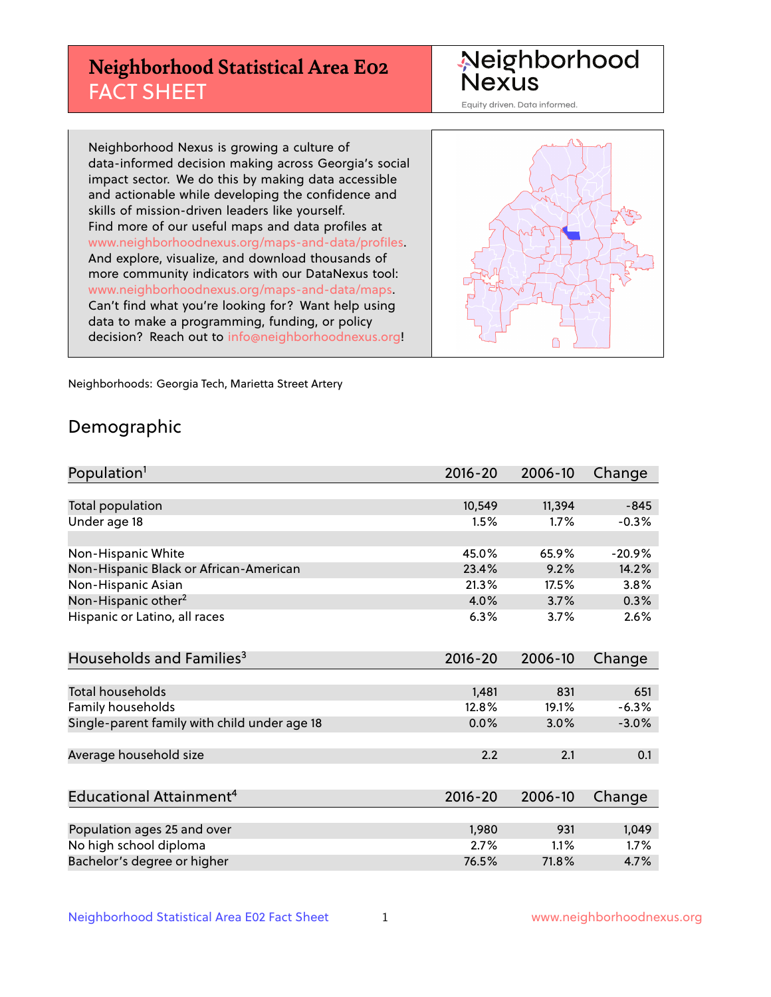## **Neighborhood Statistical Area E02** FACT SHEET

Neighborhood Nexus

Equity driven. Data informed.

Neighborhood Nexus is growing a culture of data-informed decision making across Georgia's social impact sector. We do this by making data accessible and actionable while developing the confidence and skills of mission-driven leaders like yourself. Find more of our useful maps and data profiles at www.neighborhoodnexus.org/maps-and-data/profiles. And explore, visualize, and download thousands of more community indicators with our DataNexus tool: www.neighborhoodnexus.org/maps-and-data/maps. Can't find what you're looking for? Want help using data to make a programming, funding, or policy decision? Reach out to [info@neighborhoodnexus.org!](mailto:info@neighborhoodnexus.org)



Neighborhoods: Georgia Tech, Marietta Street Artery

### Demographic

| Population <sup>1</sup>                      | 2016-20     | 2006-10 | Change   |
|----------------------------------------------|-------------|---------|----------|
|                                              |             |         |          |
| Total population                             | 10,549      | 11,394  | $-845$   |
| Under age 18                                 | 1.5%        | 1.7%    | $-0.3%$  |
|                                              |             |         |          |
| Non-Hispanic White                           | 45.0%       | 65.9%   | $-20.9%$ |
| Non-Hispanic Black or African-American       | 23.4%       | 9.2%    | 14.2%    |
| Non-Hispanic Asian                           | 21.3%       | 17.5%   | 3.8%     |
| Non-Hispanic other <sup>2</sup>              | 4.0%        | 3.7%    | 0.3%     |
| Hispanic or Latino, all races                | 6.3%        | 3.7%    | 2.6%     |
|                                              |             |         |          |
| Households and Families <sup>3</sup>         | $2016 - 20$ | 2006-10 | Change   |
|                                              |             |         |          |
| <b>Total households</b>                      | 1,481       | 831     | 651      |
| Family households                            | 12.8%       | 19.1%   | $-6.3%$  |
| Single-parent family with child under age 18 | 0.0%        | 3.0%    | $-3.0%$  |
|                                              |             |         |          |
| Average household size                       | 2.2         | 2.1     | 0.1      |
|                                              |             |         |          |
| Educational Attainment <sup>4</sup>          | $2016 - 20$ | 2006-10 | Change   |
|                                              |             |         |          |
| Population ages 25 and over                  | 1,980       | 931     | 1,049    |
| No high school diploma                       | 2.7%        | 1.1%    | 1.7%     |
| Bachelor's degree or higher                  | 76.5%       | 71.8%   | 4.7%     |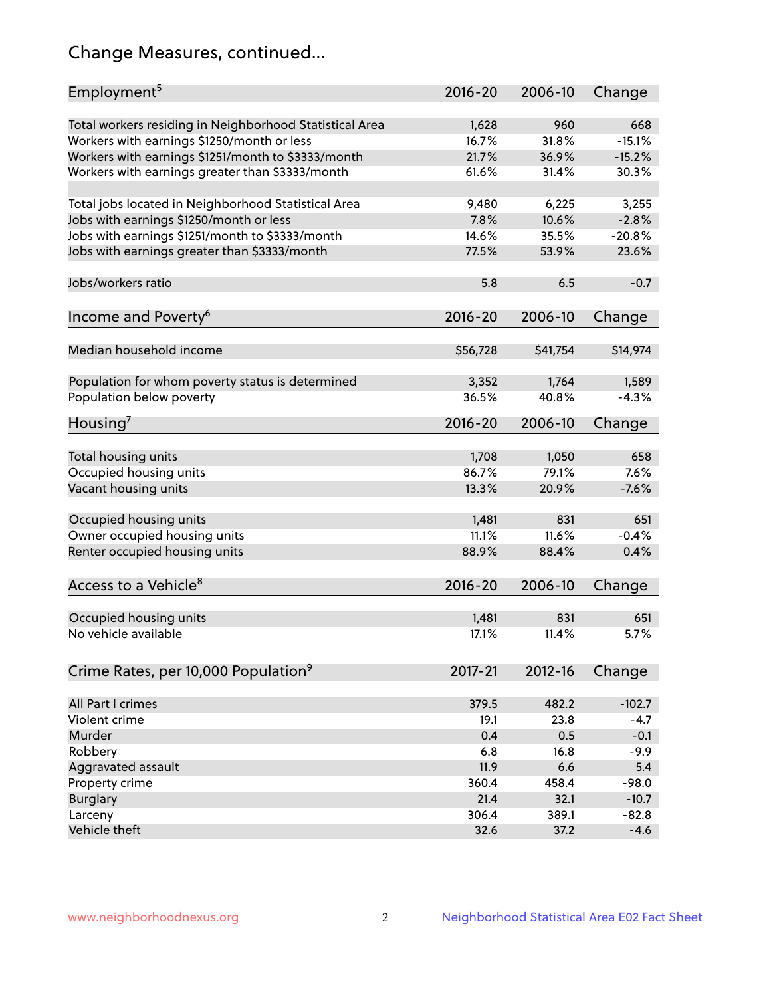## Change Measures, continued...

| Employment <sup>5</sup>                                                                               | $2016 - 20$ | 2006-10      | Change   |
|-------------------------------------------------------------------------------------------------------|-------------|--------------|----------|
|                                                                                                       | 1,628       |              | 668      |
| Total workers residing in Neighborhood Statistical Area                                               | 16.7%       | 960<br>31.8% | $-15.1%$ |
| Workers with earnings \$1250/month or less                                                            | 21.7%       | 36.9%        | $-15.2%$ |
| Workers with earnings \$1251/month to \$3333/month<br>Workers with earnings greater than \$3333/month | 61.6%       | 31.4%        | 30.3%    |
|                                                                                                       |             |              |          |
| Total jobs located in Neighborhood Statistical Area                                                   | 9,480       | 6,225        | 3,255    |
| Jobs with earnings \$1250/month or less                                                               | 7.8%        | 10.6%        | $-2.8%$  |
| Jobs with earnings \$1251/month to \$3333/month                                                       | 14.6%       | 35.5%        | $-20.8%$ |
| Jobs with earnings greater than \$3333/month                                                          | 77.5%       | 53.9%        | 23.6%    |
|                                                                                                       |             |              |          |
| Jobs/workers ratio                                                                                    | 5.8         | 6.5          | $-0.7$   |
|                                                                                                       |             |              |          |
| Income and Poverty <sup>6</sup>                                                                       | 2016-20     | 2006-10      | Change   |
|                                                                                                       |             |              |          |
| Median household income                                                                               | \$56,728    | \$41,754     | \$14,974 |
|                                                                                                       |             |              |          |
| Population for whom poverty status is determined                                                      | 3,352       | 1,764        | 1,589    |
| Population below poverty                                                                              | 36.5%       | 40.8%        | $-4.3%$  |
|                                                                                                       |             |              |          |
| Housing'                                                                                              | 2016-20     | 2006-10      | Change   |
|                                                                                                       |             |              |          |
| Total housing units                                                                                   | 1,708       | 1,050        | 658      |
| Occupied housing units                                                                                | 86.7%       | 79.1%        | 7.6%     |
| Vacant housing units                                                                                  | 13.3%       | 20.9%        | $-7.6%$  |
|                                                                                                       |             |              |          |
| Occupied housing units                                                                                | 1,481       | 831          | 651      |
| Owner occupied housing units                                                                          | 11.1%       | 11.6%        | $-0.4%$  |
| Renter occupied housing units                                                                         | 88.9%       | 88.4%        | 0.4%     |
|                                                                                                       |             |              |          |
| Access to a Vehicle <sup>8</sup>                                                                      | $2016 - 20$ | 2006-10      | Change   |
|                                                                                                       |             |              |          |
| Occupied housing units                                                                                | 1,481       | 831          | 651      |
| No vehicle available                                                                                  | 17.1%       | 11.4%        | 5.7%     |
|                                                                                                       |             |              |          |
| Crime Rates, per 10,000 Population <sup>9</sup>                                                       | 2017-21     | 2012-16      | Change   |
|                                                                                                       |             |              |          |
| All Part I crimes                                                                                     | 379.5       | 482.2        | $-102.7$ |
| Violent crime                                                                                         | 19.1        | 23.8         | $-4.7$   |
| Murder                                                                                                | 0.4         | 0.5          | $-0.1$   |
| Robbery                                                                                               | 6.8         | 16.8         | $-9.9$   |
| Aggravated assault                                                                                    | 11.9        | 6.6          | 5.4      |
| Property crime                                                                                        | 360.4       | 458.4        | $-98.0$  |
| <b>Burglary</b>                                                                                       | 21.4        | 32.1         | $-10.7$  |
| Larceny                                                                                               | 306.4       | 389.1        | $-82.8$  |
| Vehicle theft                                                                                         | 32.6        | 37.2         | $-4.6$   |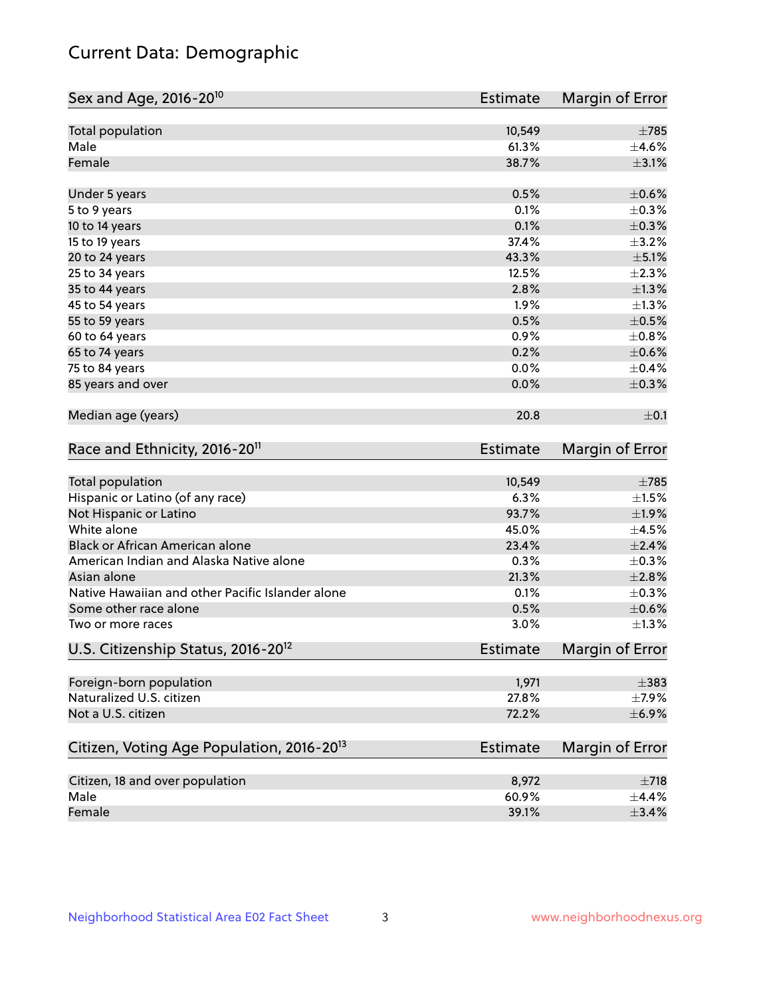## Current Data: Demographic

| Sex and Age, 2016-20 <sup>10</sup>                    | <b>Estimate</b> | Margin of Error |
|-------------------------------------------------------|-----------------|-----------------|
| Total population                                      | 10,549          | $\pm 785$       |
| Male                                                  | 61.3%           | $\pm 4.6\%$     |
| Female                                                | 38.7%           | $\pm$ 3.1%      |
| Under 5 years                                         | 0.5%            | $\pm$ 0.6%      |
| 5 to 9 years                                          | 0.1%            | $\pm$ 0.3%      |
| 10 to 14 years                                        | 0.1%            | $\pm$ 0.3%      |
| 15 to 19 years                                        | 37.4%           | $\pm$ 3.2%      |
| 20 to 24 years                                        | 43.3%           | $\pm$ 5.1%      |
| 25 to 34 years                                        | 12.5%           | $\pm 2.3\%$     |
| 35 to 44 years                                        | 2.8%            | $\pm 1.3\%$     |
| 45 to 54 years                                        | 1.9%            | $\pm$ 1.3%      |
| 55 to 59 years                                        | 0.5%            | $\pm$ 0.5%      |
| 60 to 64 years                                        | 0.9%            | $\pm 0.8\%$     |
| 65 to 74 years                                        | 0.2%            | $\pm$ 0.6%      |
| 75 to 84 years                                        | 0.0%            | $\pm$ 0.4%      |
| 85 years and over                                     | 0.0%            | $\pm$ 0.3%      |
| Median age (years)                                    | 20.8            | $\pm$ 0.1       |
| Race and Ethnicity, 2016-20 <sup>11</sup>             | <b>Estimate</b> | Margin of Error |
| Total population                                      | 10,549          | $\pm 785$       |
| Hispanic or Latino (of any race)                      | 6.3%            | $\pm 1.5\%$     |
| Not Hispanic or Latino                                | 93.7%           | ±1.9%           |
| White alone                                           | 45.0%           | $\pm$ 4.5%      |
| Black or African American alone                       | 23.4%           | $\pm 2.4\%$     |
| American Indian and Alaska Native alone               | 0.3%            | $\pm$ 0.3%      |
| Asian alone                                           | 21.3%           | $\pm 2.8\%$     |
| Native Hawaiian and other Pacific Islander alone      | 0.1%            | $\pm$ 0.3%      |
| Some other race alone                                 | 0.5%            | $\pm$ 0.6%      |
| Two or more races                                     | 3.0%            | $\pm 1.3\%$     |
| U.S. Citizenship Status, 2016-20 <sup>12</sup>        | <b>Estimate</b> | Margin of Error |
| Foreign-born population                               | 1,971           | $\pm$ 383       |
| Naturalized U.S. citizen                              | 27.8%           | $\pm$ 7.9%      |
| Not a U.S. citizen                                    | 72.2%           | ±6.9%           |
| Citizen, Voting Age Population, 2016-20 <sup>13</sup> | <b>Estimate</b> | Margin of Error |
| Citizen, 18 and over population                       | 8,972           | $\pm 718$       |
| Male                                                  | 60.9%           | $\pm$ 4.4%      |
| Female                                                | 39.1%           | $\pm$ 3.4%      |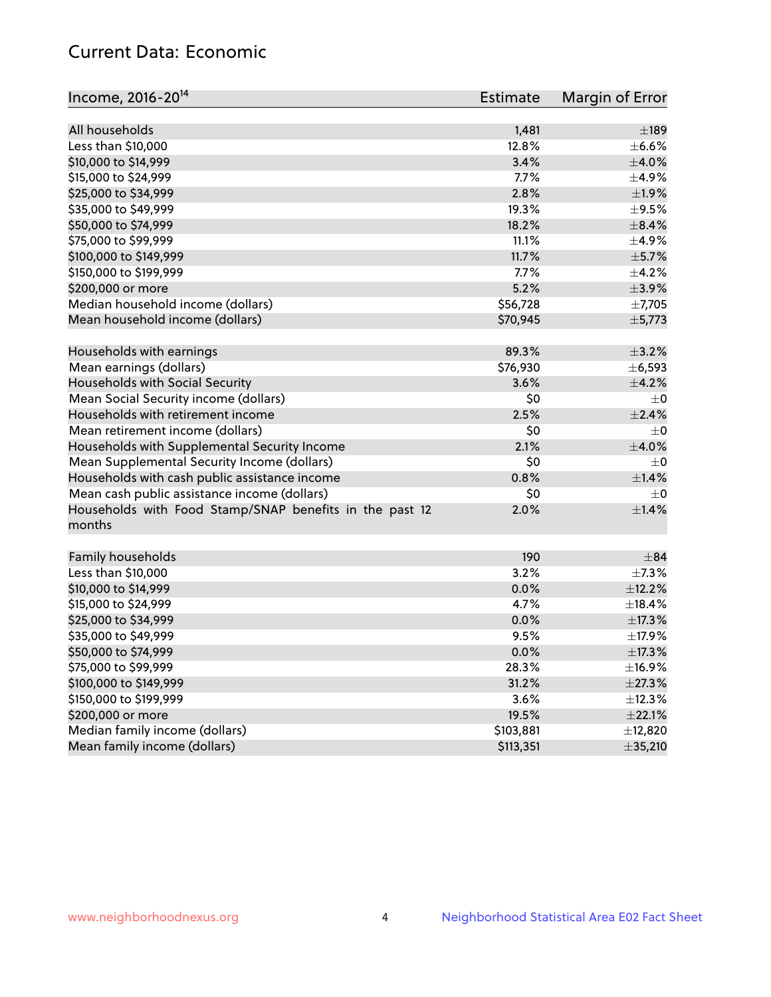## Current Data: Economic

| Income, 2016-20 <sup>14</sup>                           | Estimate       | Margin of Error |
|---------------------------------------------------------|----------------|-----------------|
| All households                                          |                | $\pm$ 189       |
|                                                         | 1,481<br>12.8% |                 |
| Less than \$10,000                                      |                | $\pm$ 6.6%      |
| \$10,000 to \$14,999                                    | 3.4%           | $\pm$ 4.0%      |
| \$15,000 to \$24,999                                    | 7.7%           | $\pm$ 4.9%      |
| \$25,000 to \$34,999                                    | 2.8%           | $\pm 1.9\%$     |
| \$35,000 to \$49,999                                    | 19.3%          | $\pm$ 9.5%      |
| \$50,000 to \$74,999                                    | 18.2%          | $\pm$ 8.4%      |
| \$75,000 to \$99,999                                    | 11.1%          | $\pm$ 4.9%      |
| \$100,000 to \$149,999                                  | 11.7%          | $\pm$ 5.7%      |
| \$150,000 to \$199,999                                  | 7.7%           | $\pm$ 4.2%      |
| \$200,000 or more                                       | 5.2%           | $\pm$ 3.9%      |
| Median household income (dollars)                       | \$56,728       | $\pm$ 7,705     |
| Mean household income (dollars)                         | \$70,945       | ±5,773          |
| Households with earnings                                | 89.3%          | $\pm$ 3.2%      |
| Mean earnings (dollars)                                 | \$76,930       | ± 6,593         |
| Households with Social Security                         | 3.6%           | $\pm$ 4.2%      |
| Mean Social Security income (dollars)                   | \$0            | $\pm$ 0         |
| Households with retirement income                       | 2.5%           | $\pm 2.4\%$     |
| Mean retirement income (dollars)                        | \$0            | $\pm$ 0         |
| Households with Supplemental Security Income            | 2.1%           | $\pm 4.0\%$     |
| Mean Supplemental Security Income (dollars)             | \$0            | $\pm$ 0         |
| Households with cash public assistance income           | 0.8%           | ±1.4%           |
| Mean cash public assistance income (dollars)            | \$0            | $\pm 0$         |
| Households with Food Stamp/SNAP benefits in the past 12 | 2.0%           | ±1.4%           |
| months                                                  |                |                 |
| Family households                                       | 190            | $\pm$ 84        |
|                                                         | 3.2%           | ±7.3%           |
| Less than \$10,000                                      |                |                 |
| \$10,000 to \$14,999                                    | 0.0%           | ±12.2%          |
| \$15,000 to \$24,999                                    | 4.7%           | ±18.4%          |
| \$25,000 to \$34,999                                    | 0.0%           | ±17.3%          |
| \$35,000 to \$49,999                                    | 9.5%           | ±17.9%          |
| \$50,000 to \$74,999                                    | 0.0%           | ±17.3%          |
| \$75,000 to \$99,999                                    | 28.3%          | ±16.9%          |
| \$100,000 to \$149,999                                  | 31.2%          | ±27.3%          |
| \$150,000 to \$199,999                                  | 3.6%           | ±12.3%          |
| \$200,000 or more                                       | 19.5%          | $\pm 22.1\%$    |
| Median family income (dollars)                          | \$103,881      | ±12,820         |
| Mean family income (dollars)                            | \$113,351      | ±35,210         |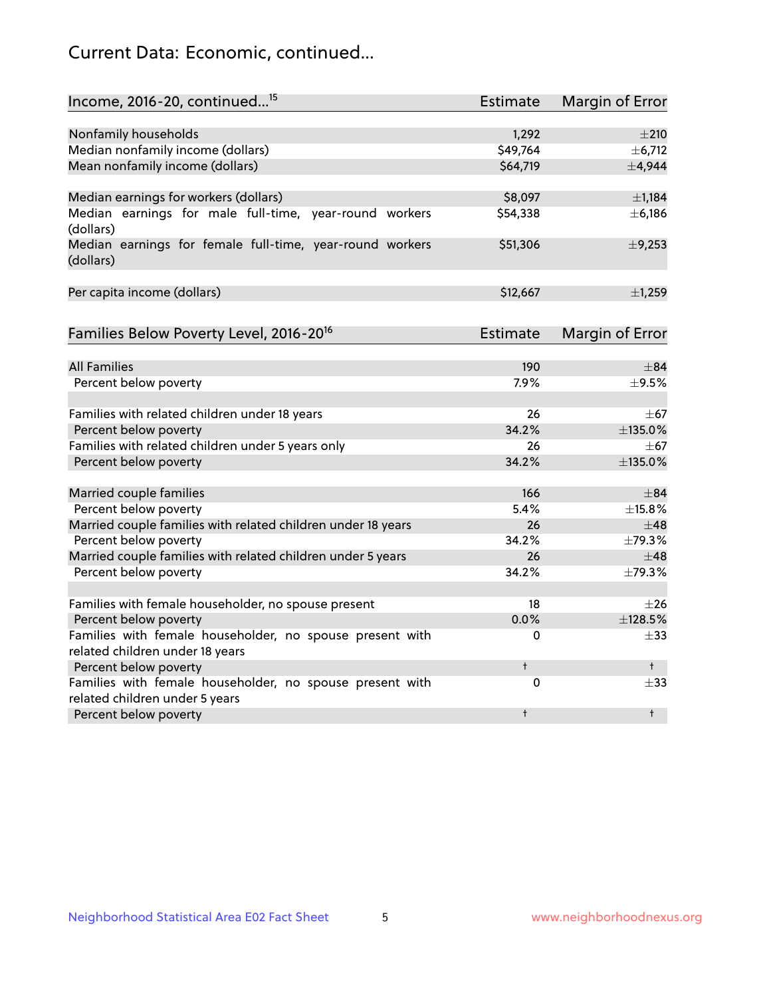## Current Data: Economic, continued...

| Income, 2016-20, continued <sup>15</sup>                                                   | <b>Estimate</b> | <b>Margin of Error</b> |
|--------------------------------------------------------------------------------------------|-----------------|------------------------|
|                                                                                            |                 |                        |
| Nonfamily households                                                                       | 1,292           | $\pm 210$              |
| Median nonfamily income (dollars)                                                          | \$49,764        | ± 6,712                |
| Mean nonfamily income (dollars)                                                            | \$64,719        | ±4,944                 |
| Median earnings for workers (dollars)                                                      | \$8,097         | $\pm$ 1,184            |
| Median earnings for male full-time, year-round workers                                     | \$54,338        | ±6,186                 |
| (dollars)                                                                                  |                 |                        |
| Median earnings for female full-time, year-round workers<br>(dollars)                      | \$51,306        | ±9,253                 |
| Per capita income (dollars)                                                                | \$12,667        | ±1,259                 |
|                                                                                            |                 |                        |
| Families Below Poverty Level, 2016-20 <sup>16</sup>                                        | Estimate        | <b>Margin of Error</b> |
| <b>All Families</b>                                                                        | 190             | $\pm$ 84               |
| Percent below poverty                                                                      | 7.9%            | $\pm$ 9.5%             |
|                                                                                            |                 |                        |
| Families with related children under 18 years                                              | 26              | $\pm$ 67               |
| Percent below poverty                                                                      | 34.2%           | ±135.0%                |
| Families with related children under 5 years only                                          | 26              | $\pm$ 67               |
| Percent below poverty                                                                      | 34.2%           | ±135.0%                |
| Married couple families                                                                    | 166             | $\pm$ 84               |
| Percent below poverty                                                                      | 5.4%            | ±15.8%                 |
| Married couple families with related children under 18 years                               | 26              | $\pm$ 48               |
| Percent below poverty                                                                      | 34.2%           | $\pm$ 79.3%            |
| Married couple families with related children under 5 years                                | 26              | $\pm$ 48               |
| Percent below poverty                                                                      | 34.2%           | ±79.3%                 |
|                                                                                            |                 |                        |
| Families with female householder, no spouse present                                        | 18              | $\pm 26$               |
| Percent below poverty                                                                      | 0.0%            | ±128.5%                |
| Families with female householder, no spouse present with                                   | 0               | $+33$                  |
| related children under 18 years                                                            | $\ddagger$      | $^+$                   |
| Percent below poverty                                                                      |                 |                        |
| Families with female householder, no spouse present with<br>related children under 5 years | 0               | $\pm$ 33               |
| Percent below poverty                                                                      | $\ddagger$      | $\ddagger$             |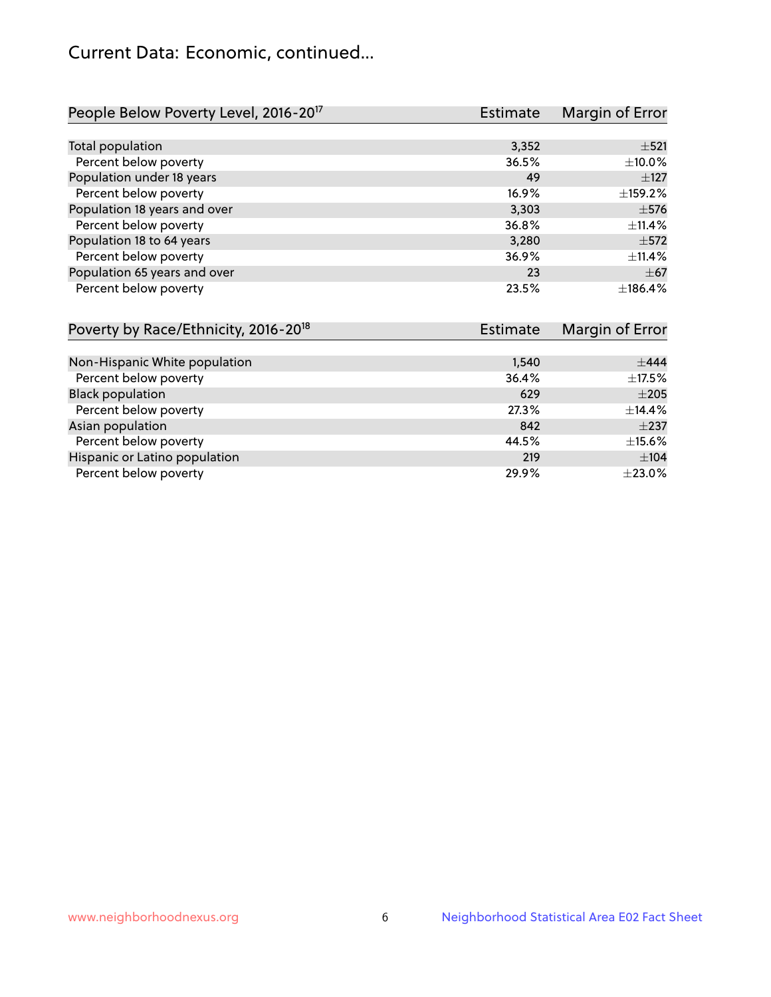## Current Data: Economic, continued...

| People Below Poverty Level, 2016-20 <sup>17</sup> | <b>Estimate</b> | Margin of Error |
|---------------------------------------------------|-----------------|-----------------|
|                                                   |                 |                 |
| Total population                                  | 3,352           | $\pm$ 521       |
| Percent below poverty                             | 36.5%           | ±10.0%          |
| Population under 18 years                         | 49              | $\pm$ 127       |
| Percent below poverty                             | 16.9%           | ±159.2%         |
| Population 18 years and over                      | 3,303           | $\pm$ 576       |
| Percent below poverty                             | 36.8%           | $+11.4%$        |
| Population 18 to 64 years                         | 3.280           | $\pm$ 572       |
| Percent below poverty                             | 36.9%           | ±11.4%          |
| Population 65 years and over                      | 23              | $\pm$ 67        |
| Percent below poverty                             | 23.5%           | ±186.4%         |

| Poverty by Race/Ethnicity, 2016-20 <sup>18</sup> | Estimate |              |
|--------------------------------------------------|----------|--------------|
|                                                  |          |              |
| Non-Hispanic White population                    | 1,540    | ±444         |
| Percent below poverty                            | 36.4%    | $\pm$ 17.5%  |
| <b>Black population</b>                          | 629      | $\pm 205$    |
| Percent below poverty                            | 27.3%    | ±14.4%       |
| Asian population                                 | 842      | $\pm$ 237    |
| Percent below poverty                            | 44.5%    | $\pm$ 15.6%  |
| Hispanic or Latino population                    | 219      | ±104         |
| Percent below poverty                            | 29.9%    | $\pm 23.0\%$ |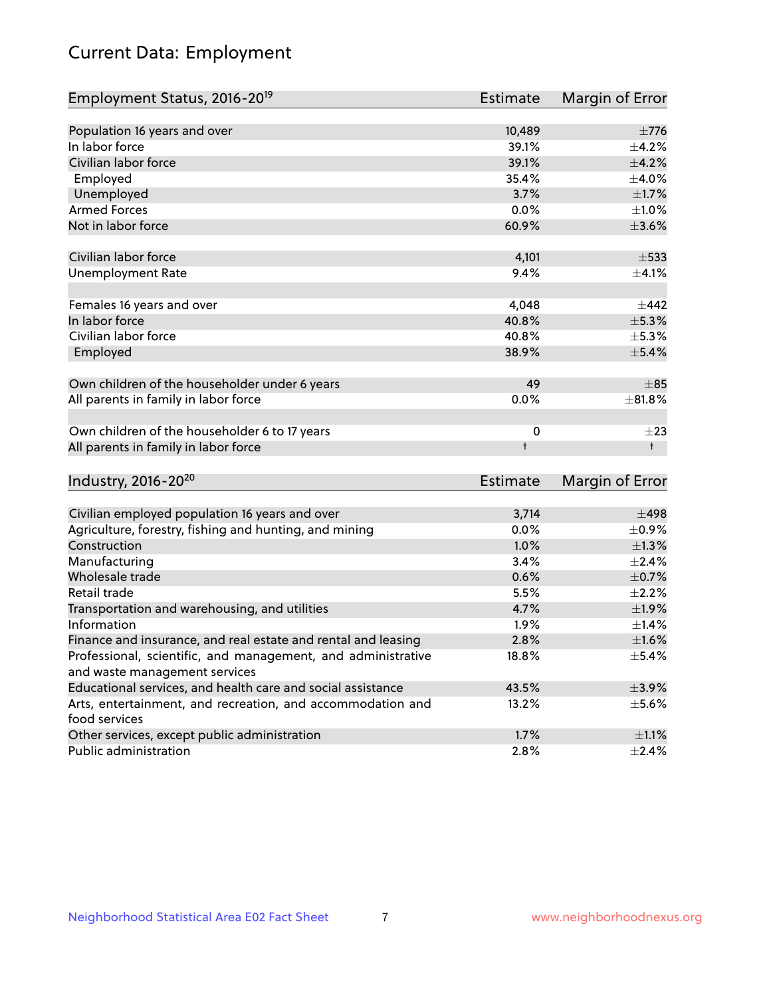## Current Data: Employment

| Employment Status, 2016-20 <sup>19</sup>      | Estimate   | Margin of Error    |
|-----------------------------------------------|------------|--------------------|
|                                               |            |                    |
| Population 16 years and over                  | 10,489     | $\pm 776$          |
| In labor force                                | 39.1%      | $+4.2%$            |
| Civilian labor force                          | 39.1%      | $\pm$ 4.2%         |
| Employed                                      | 35.4%      | $\pm$ 4.0%         |
| Unemployed                                    | 3.7%       | $\pm$ 1.7%         |
| <b>Armed Forces</b>                           | 0.0%       | $\pm 1.0\%$        |
| Not in labor force                            | 60.9%      | $\pm 3.6\%$        |
|                                               |            |                    |
| Civilian labor force                          | 4,101      | $\pm$ 533          |
| Unemployment Rate                             | 9.4%       | $\pm$ 4.1%         |
|                                               |            |                    |
| Females 16 years and over                     | 4,048      | $+442$             |
| In labor force                                | 40.8%      | $\pm$ 5.3%         |
| Civilian labor force                          | 40.8%      | $\pm$ 5.3%         |
| Employed                                      | 38.9%      | ±5.4%              |
|                                               |            |                    |
| Own children of the householder under 6 years | 49         | $\pm$ 85           |
| All parents in family in labor force          | 0.0%       | ±81.8%             |
|                                               |            |                    |
| Own children of the householder 6 to 17 years | 0          | $\pm 23$           |
| All parents in family in labor force          | $\ddagger$ | $^{\dagger}$       |
|                                               |            |                    |
| $Im A_{11} + m_1 2016 20$                     | Estimants. | $M$ avain af Evrav |

| $100 \times 10^{-6}$                                          | Estimate | Margin of Error |
|---------------------------------------------------------------|----------|-----------------|
|                                                               |          |                 |
| Civilian employed population 16 years and over                | 3,714    | $\pm$ 498       |
| Agriculture, forestry, fishing and hunting, and mining        | 0.0%     | $\pm$ 0.9%      |
| Construction                                                  | $1.0\%$  | $\pm$ 1.3%      |
| Manufacturing                                                 | 3.4%     | $\pm$ 2.4%      |
| Wholesale trade                                               | 0.6%     | $\pm$ 0.7%      |
| Retail trade                                                  | 5.5%     | $\pm 2.2\%$     |
| Transportation and warehousing, and utilities                 | 4.7%     | $\pm$ 1.9%      |
| Information                                                   | $1.9\%$  | $\pm$ 1.4%      |
| Finance and insurance, and real estate and rental and leasing | 2.8%     | $\pm1.6\%$      |
| Professional, scientific, and management, and administrative  | 18.8%    | $\pm$ 5.4%      |
| and waste management services                                 |          |                 |
| Educational services, and health care and social assistance   | 43.5%    | $\pm$ 3.9%      |
| Arts, entertainment, and recreation, and accommodation and    | 13.2%    | $\pm$ 5.6%      |
| food services                                                 |          |                 |
| Other services, except public administration                  | $1.7\%$  | $\pm$ 1.1%      |
| Public administration                                         | 2.8%     | $\pm 2.4\%$     |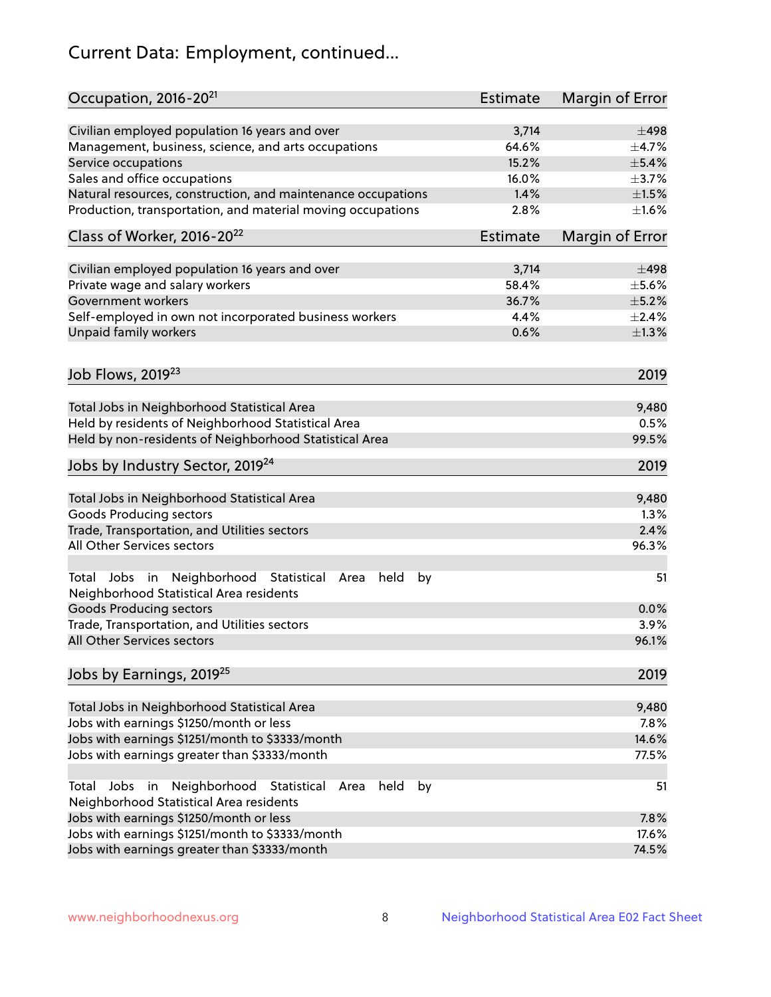# Current Data: Employment, continued...

| Occupation, 2016-20 <sup>21</sup>                                                                       | Estimate        | Margin of Error |
|---------------------------------------------------------------------------------------------------------|-----------------|-----------------|
| Civilian employed population 16 years and over                                                          | 3,714           | $\pm$ 498       |
| Management, business, science, and arts occupations                                                     | 64.6%           | $\pm$ 4.7%      |
| Service occupations                                                                                     | 15.2%           | $\pm$ 5.4%      |
| Sales and office occupations                                                                            | 16.0%           | $\pm$ 3.7%      |
| Natural resources, construction, and maintenance occupations                                            | 1.4%            | $\pm 1.5\%$     |
| Production, transportation, and material moving occupations                                             | 2.8%            | $\pm 1.6\%$     |
| Class of Worker, 2016-20 <sup>22</sup>                                                                  | <b>Estimate</b> | Margin of Error |
| Civilian employed population 16 years and over                                                          | 3,714           | $\pm 498$       |
| Private wage and salary workers                                                                         | 58.4%           | $\pm$ 5.6%      |
| Government workers                                                                                      | 36.7%           | $\pm$ 5.2%      |
|                                                                                                         | 4.4%            |                 |
| Self-employed in own not incorporated business workers                                                  |                 | $\pm 2.4\%$     |
| Unpaid family workers                                                                                   | 0.6%            | $\pm 1.3\%$     |
| Job Flows, 2019 <sup>23</sup>                                                                           |                 | 2019            |
| Total Jobs in Neighborhood Statistical Area                                                             |                 | 9,480           |
| Held by residents of Neighborhood Statistical Area                                                      |                 | 0.5%            |
| Held by non-residents of Neighborhood Statistical Area                                                  |                 | 99.5%           |
| Jobs by Industry Sector, 2019 <sup>24</sup>                                                             |                 | 2019            |
| Total Jobs in Neighborhood Statistical Area                                                             |                 | 9,480           |
| <b>Goods Producing sectors</b>                                                                          |                 | 1.3%            |
| Trade, Transportation, and Utilities sectors                                                            |                 | 2.4%            |
| All Other Services sectors                                                                              |                 | 96.3%           |
|                                                                                                         |                 |                 |
| Total Jobs in Neighborhood Statistical<br>held<br>by<br>Area<br>Neighborhood Statistical Area residents |                 | 51              |
| <b>Goods Producing sectors</b>                                                                          |                 | 0.0%            |
| Trade, Transportation, and Utilities sectors                                                            |                 | 3.9%            |
| All Other Services sectors                                                                              |                 | 96.1%           |
| Jobs by Earnings, 2019 <sup>25</sup>                                                                    |                 | 2019            |
| Total Jobs in Neighborhood Statistical Area                                                             |                 | 9,480           |
| Jobs with earnings \$1250/month or less                                                                 |                 | 7.8%            |
| Jobs with earnings \$1251/month to \$3333/month                                                         |                 | 14.6%           |
| Jobs with earnings greater than \$3333/month                                                            |                 | 77.5%           |
| Neighborhood Statistical<br>Jobs<br>in<br>Area<br>held<br>by<br>Total                                   |                 | 51              |
| Neighborhood Statistical Area residents                                                                 |                 |                 |
| Jobs with earnings \$1250/month or less                                                                 |                 | 7.8%            |
| Jobs with earnings \$1251/month to \$3333/month                                                         |                 | 17.6%           |
| Jobs with earnings greater than \$3333/month                                                            |                 | 74.5%           |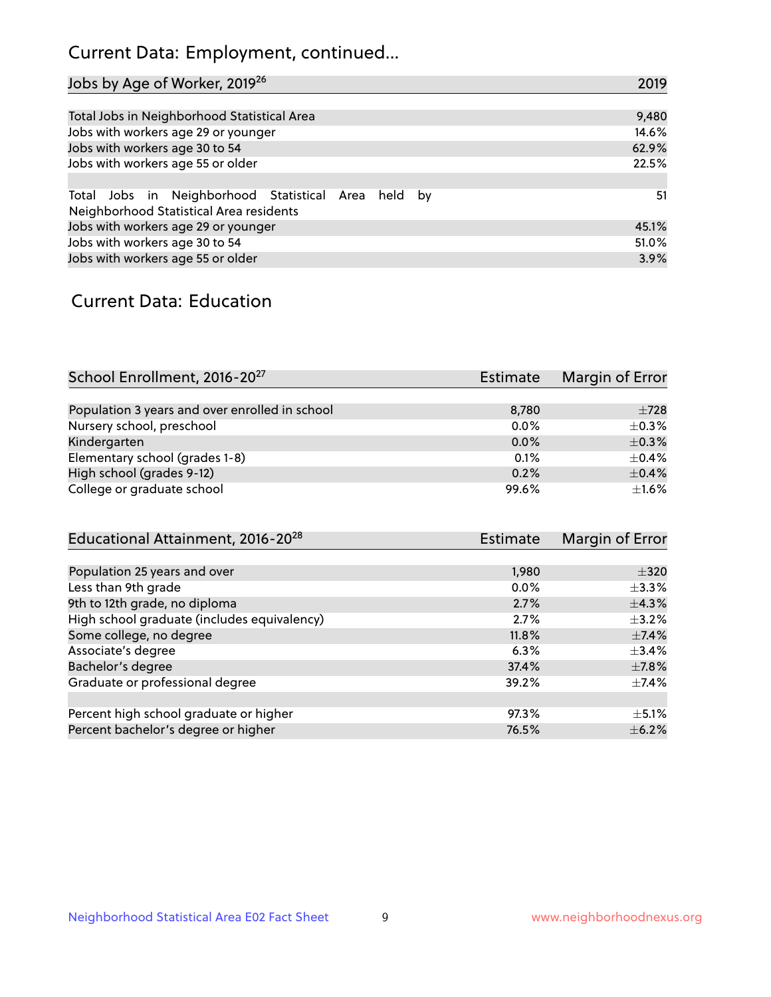## Current Data: Employment, continued...

| Jobs by Age of Worker, 2019 <sup>26</sup>                                                      | 2019  |
|------------------------------------------------------------------------------------------------|-------|
|                                                                                                |       |
| Total Jobs in Neighborhood Statistical Area                                                    | 9,480 |
| Jobs with workers age 29 or younger                                                            | 14.6% |
| Jobs with workers age 30 to 54                                                                 | 62.9% |
| Jobs with workers age 55 or older                                                              | 22.5% |
|                                                                                                |       |
| Total Jobs in Neighborhood Statistical Area held by<br>Neighborhood Statistical Area residents | 51    |
| Jobs with workers age 29 or younger                                                            | 45.1% |
| Jobs with workers age 30 to 54                                                                 | 51.0% |
| Jobs with workers age 55 or older                                                              | 3.9%  |

## Current Data: Education

| School Enrollment, 2016-20 <sup>27</sup>       | <b>Estimate</b> | Margin of Error |
|------------------------------------------------|-----------------|-----------------|
|                                                |                 |                 |
| Population 3 years and over enrolled in school | 8,780           | $\pm 728$       |
| Nursery school, preschool                      | 0.0%            | $+0.3%$         |
| Kindergarten                                   | 0.0%            | $\pm$ 0.3%      |
| Elementary school (grades 1-8)                 | 0.1%            | $+0.4%$         |
| High school (grades 9-12)                      | 0.2%            | $\pm$ 0.4%      |
| College or graduate school                     | 99.6%           | $\pm 1.6\%$     |

| Educational Attainment, 2016-20 <sup>28</sup> | <b>Estimate</b> | Margin of Error |
|-----------------------------------------------|-----------------|-----------------|
|                                               |                 |                 |
| Population 25 years and over                  | 1,980           | $\pm$ 320       |
| Less than 9th grade                           | 0.0%            | $\pm$ 3.3%      |
| 9th to 12th grade, no diploma                 | 2.7%            | $\pm$ 4.3%      |
| High school graduate (includes equivalency)   | 2.7%            | $\pm$ 3.2%      |
| Some college, no degree                       | 11.8%           | $\pm$ 7.4%      |
| Associate's degree                            | 6.3%            | $\pm$ 3.4%      |
| Bachelor's degree                             | 37.4%           | $\pm$ 7.8%      |
| Graduate or professional degree               | 39.2%           | $\pm$ 7.4%      |
|                                               |                 |                 |
| Percent high school graduate or higher        | 97.3%           | $\pm$ 5.1%      |
| Percent bachelor's degree or higher           | 76.5%           | $\pm$ 6.2%      |
|                                               |                 |                 |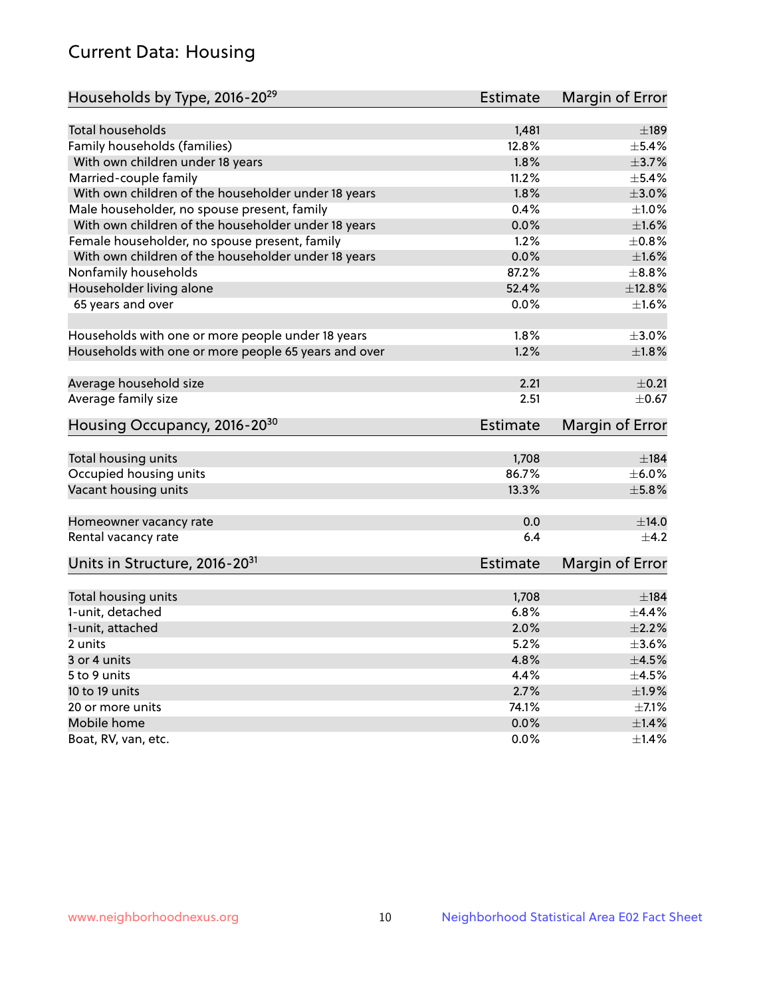## Current Data: Housing

| Households by Type, 2016-20 <sup>29</sup>            | <b>Estimate</b> | Margin of Error |
|------------------------------------------------------|-----------------|-----------------|
|                                                      |                 |                 |
| Total households                                     | 1,481           | $\pm$ 189       |
| Family households (families)                         | 12.8%           | ±5.4%           |
| With own children under 18 years                     | 1.8%            | $\pm$ 3.7%      |
| Married-couple family                                | 11.2%           | $\pm$ 5.4%      |
| With own children of the householder under 18 years  | 1.8%            | $\pm 3.0\%$     |
| Male householder, no spouse present, family          | 0.4%            | $\pm 1.0\%$     |
| With own children of the householder under 18 years  | 0.0%            | $\pm1.6\%$      |
| Female householder, no spouse present, family        | 1.2%            | $\pm 0.8\%$     |
| With own children of the householder under 18 years  | 0.0%            | $\pm1.6\%$      |
| Nonfamily households                                 | 87.2%           | $\pm$ 8.8%      |
| Householder living alone                             | 52.4%           | ±12.8%          |
| 65 years and over                                    | $0.0\%$         | $\pm1.6\%$      |
| Households with one or more people under 18 years    | 1.8%            | $\pm 3.0\%$     |
| Households with one or more people 65 years and over | 1.2%            | $\pm1.8\%$      |
|                                                      |                 |                 |
| Average household size                               | 2.21            | $\pm$ 0.21      |
| Average family size                                  | 2.51            | $\pm$ 0.67      |
| Housing Occupancy, 2016-20 <sup>30</sup>             | <b>Estimate</b> | Margin of Error |
| Total housing units                                  | 1,708           | ±184            |
| Occupied housing units                               | 86.7%           | $\pm$ 6.0%      |
| Vacant housing units                                 | 13.3%           | $\pm$ 5.8%      |
|                                                      |                 |                 |
| Homeowner vacancy rate                               | 0.0             | $\pm$ 14.0      |
| Rental vacancy rate                                  | 6.4             | $+4.2$          |
| Units in Structure, 2016-20 <sup>31</sup>            | Estimate        | Margin of Error |
| Total housing units                                  | 1,708           | $\pm$ 184       |
| 1-unit, detached                                     | 6.8%            | $\pm$ 4.4%      |
|                                                      | 2.0%            | $\pm 2.2\%$     |
| 1-unit, attached                                     | 5.2%            | $\pm 3.6\%$     |
| 2 units                                              |                 |                 |
| 3 or 4 units                                         | 4.8%            | $\pm$ 4.5%      |
| 5 to 9 units                                         | 4.4%            | $\pm 4.5\%$     |
| 10 to 19 units                                       | 2.7%            | $\pm 1.9\%$     |
| 20 or more units                                     | 74.1%           | $\pm$ 7.1%      |
| Mobile home                                          | 0.0%            | ±1.4%           |
| Boat, RV, van, etc.                                  | $0.0\%$         | $\pm$ 1.4%      |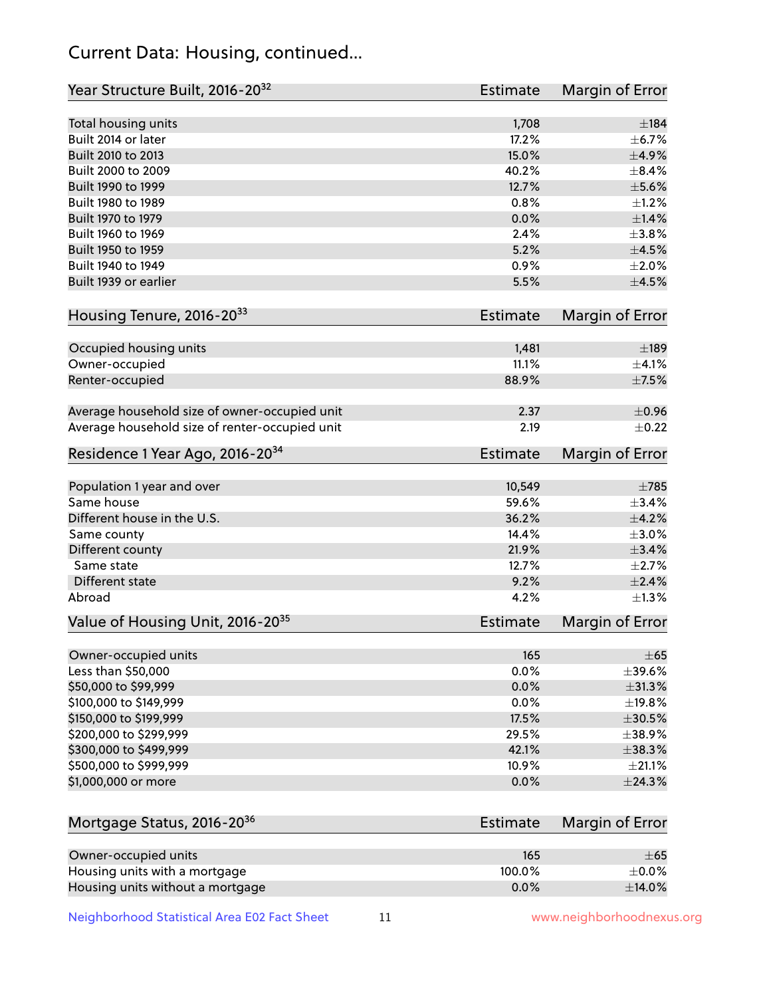## Current Data: Housing, continued...

| Year Structure Built, 2016-20 <sup>32</sup>    | <b>Estimate</b> | <b>Margin of Error</b> |
|------------------------------------------------|-----------------|------------------------|
| Total housing units                            | 1,708           | ±184                   |
| Built 2014 or later                            | 17.2%           | ±6.7%                  |
| Built 2010 to 2013                             | 15.0%           | $\pm$ 4.9%             |
| Built 2000 to 2009                             | 40.2%           | $\pm$ 8.4%             |
| Built 1990 to 1999                             | 12.7%           | $\pm$ 5.6%             |
| Built 1980 to 1989                             | 0.8%            | $\pm 1.2\%$            |
| Built 1970 to 1979                             | 0.0%            | $\pm$ 1.4%             |
| Built 1960 to 1969                             | 2.4%            | $\pm$ 3.8%             |
| Built 1950 to 1959                             | 5.2%            | $\pm$ 4.5%             |
| Built 1940 to 1949                             | 0.9%            | $\pm 2.0\%$            |
| Built 1939 or earlier                          | 5.5%            | $\pm$ 4.5%             |
| Housing Tenure, 2016-2033                      | <b>Estimate</b> | <b>Margin of Error</b> |
|                                                |                 |                        |
| Occupied housing units                         | 1,481<br>11.1%  | ±189<br>±4.1%          |
| Owner-occupied                                 | 88.9%           | $\pm$ 7.5%             |
| Renter-occupied                                |                 |                        |
| Average household size of owner-occupied unit  | 2.37            | $\pm$ 0.96             |
| Average household size of renter-occupied unit | 2.19            | $\pm$ 0.22             |
| Residence 1 Year Ago, 2016-20 <sup>34</sup>    | <b>Estimate</b> | <b>Margin of Error</b> |
| Population 1 year and over                     | 10,549          | $\pm 785$              |
| Same house                                     | 59.6%           | ±3.4%                  |
| Different house in the U.S.                    | 36.2%           | $\pm$ 4.2%             |
| Same county                                    | 14.4%           | $\pm 3.0\%$            |
| Different county                               | 21.9%           | $\pm$ 3.4%             |
| Same state                                     | 12.7%           | $\pm 2.7\%$            |
| Different state                                | 9.2%            | $\pm 2.4\%$            |
| Abroad                                         | 4.2%            | ±1.3%                  |
| Value of Housing Unit, 2016-20 <sup>35</sup>   | <b>Estimate</b> | Margin of Error        |
| Owner-occupied units                           | 165             | $\pm 65$               |
| Less than \$50,000                             | 0.0%            | $\pm$ 39.6%            |
| \$50,000 to \$99,999                           | 0.0%            | $\pm$ 31.3%            |
| \$100,000 to \$149,999                         | 0.0%            | ±19.8%                 |
| \$150,000 to \$199,999                         | 17.5%           | $\pm$ 30.5%            |
| \$200,000 to \$299,999                         | 29.5%           | ±38.9%                 |
| \$300,000 to \$499,999                         | 42.1%           | ±38.3%                 |
| \$500,000 to \$999,999                         | 10.9%           | $\pm 21.1\%$           |
| \$1,000,000 or more                            | 0.0%            | ±24.3%                 |
| Mortgage Status, 2016-20 <sup>36</sup>         | <b>Estimate</b> | Margin of Error        |
| Owner-occupied units                           | 165             | $\pm 65$               |
| Housing units with a mortgage                  | 100.0%          | $\pm$ 0.0%             |

Neighborhood Statistical Area E02 Fact Sheet 11 1 www.neighborhoodnexus.org

Housing units without a mortgage  $\pm 14.0\%$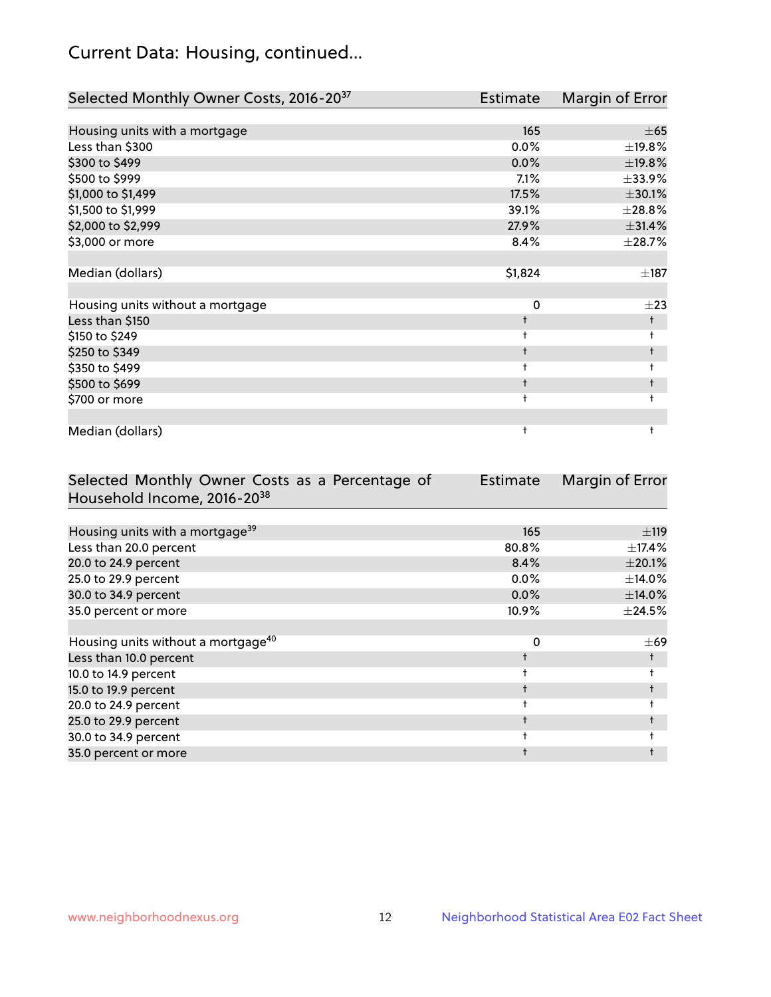## Current Data: Housing, continued...

| Selected Monthly Owner Costs, 2016-20 <sup>37</sup> | <b>Estimate</b> | Margin of Error |
|-----------------------------------------------------|-----------------|-----------------|
|                                                     |                 |                 |
| Housing units with a mortgage                       | 165             | $\pm 65$        |
| Less than \$300                                     | $0.0\%$         | $\pm$ 19.8%     |
| \$300 to \$499                                      | 0.0%            | ±19.8%          |
| \$500 to \$999                                      | 7.1%            | ±33.9%          |
| \$1,000 to \$1,499                                  | 17.5%           | ±30.1%          |
| \$1,500 to \$1,999                                  | 39.1%           | ±28.8%          |
| \$2,000 to \$2,999                                  | 27.9%           | ±31.4%          |
| \$3,000 or more                                     | 8.4%            | ±28.7%          |
|                                                     |                 |                 |
| Median (dollars)                                    | \$1,824         | $\pm$ 187       |
|                                                     |                 |                 |
| Housing units without a mortgage                    | 0               | $\pm 23$        |
| Less than \$150                                     | $\ddagger$      | $\ddagger$      |
| \$150 to \$249                                      | t               | $\ddagger$      |
| \$250 to \$349                                      | $\ddagger$      | $\ddagger$      |
| \$350 to \$499                                      | $\ddagger$      | $\ddagger$      |
| \$500 to \$699                                      | $\ddagger$      | t               |
| \$700 or more                                       | $\ddagger$      | $\ddagger$      |
|                                                     |                 |                 |
| Median (dollars)                                    | t               | ŧ               |

| Selected Monthly Owner Costs as a Percentage of | Estimate | Margin of Error |
|-------------------------------------------------|----------|-----------------|
| Household Income, 2016-2038                     |          |                 |
|                                                 |          |                 |
| Housing units with a mortgage <sup>39</sup>     | 165      | ±119            |
| Less than 20.0 percent                          | 80.8%    | ±17.4%          |
| 20.0 to 24.9 percent                            | 8.4%     | $\pm 20.1\%$    |
| 25.0 to 29.9 percent                            | $0.0\%$  | ±14.0%          |
| 30.0 to 34.9 percent                            | $0.0\%$  | ±14.0%          |
| 35.0 percent or more                            | 10.9%    | $\pm$ 24.5%     |
|                                                 |          |                 |
| Housing units without a mortgage <sup>40</sup>  | 0        | $\pm 69$        |
| Less than 10.0 percent                          |          |                 |
| 10.0 to 14.9 percent                            |          |                 |
| 15.0 to 19.9 percent                            |          | $\ddagger$      |
| 20.0 to 24.9 percent                            |          |                 |
| 25.0 to 29.9 percent                            |          |                 |
| 30.0 to 34.9 percent                            |          |                 |
| 35.0 percent or more                            |          |                 |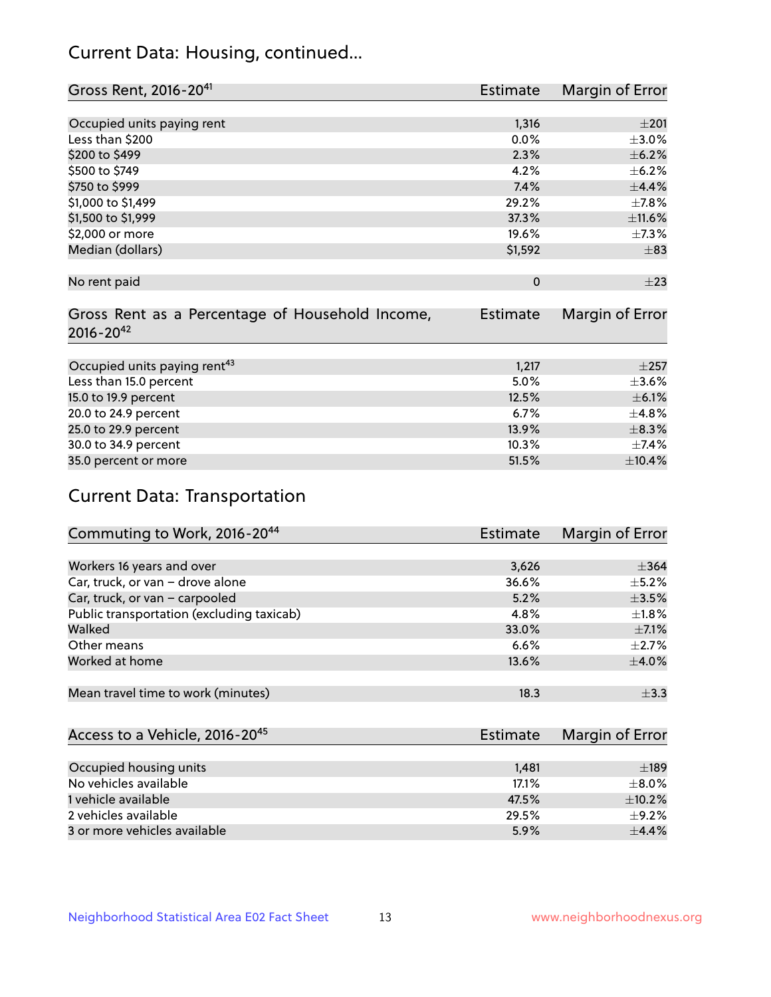## Current Data: Housing, continued...

| Gross Rent, 2016-20 <sup>41</sup>               | <b>Estimate</b> | Margin of Error |
|-------------------------------------------------|-----------------|-----------------|
|                                                 |                 |                 |
| Occupied units paying rent                      | 1,316           | $\pm 201$       |
| Less than \$200                                 | 0.0%            | $\pm 3.0\%$     |
| \$200 to \$499                                  | 2.3%            | $\pm$ 6.2%      |
| \$500 to \$749                                  | 4.2%            | $\pm$ 6.2%      |
| \$750 to \$999                                  | 7.4%            | ±4.4%           |
| \$1,000 to \$1,499                              | 29.2%           | $\pm$ 7.8%      |
| \$1,500 to \$1,999                              | 37.3%           | ±11.6%          |
| \$2,000 or more                                 | 19.6%           | $\pm$ 7.3%      |
| Median (dollars)                                | \$1,592         | $\pm$ 83        |
|                                                 |                 |                 |
| No rent paid                                    | $\Omega$        | $\pm 23$        |
|                                                 |                 |                 |
| Gross Rent as a Percentage of Household Income, | <b>Estimate</b> | Margin of Error |
| $2016 - 20^{42}$                                |                 |                 |
|                                                 |                 |                 |
| Occupied units paying rent <sup>43</sup>        | 1,217           | $\pm 257$       |
| Less than 15.0 percent                          | 5.0%            | $\pm 3.6\%$     |
| 15.0 to 19.9 percent                            | 12.5%           | $\pm$ 6.1%      |
| 20.0 to 24.9 percent                            | 6.7%            | $\pm$ 4.8%      |
| 25.0 to 29.9 percent                            | 13.9%           | $\pm$ 8.3%      |
| 30.0 to 34.9 percent                            | 10.3%           | ±7.4%           |
| 35.0 percent or more                            | 51.5%           | ±10.4%          |

## Current Data: Transportation

| Commuting to Work, 2016-20 <sup>44</sup>  | Estimate | Margin of Error |
|-------------------------------------------|----------|-----------------|
|                                           |          |                 |
| Workers 16 years and over                 | 3,626    | $\pm$ 364       |
| Car, truck, or van - drove alone          | 36.6%    | $\pm$ 5.2%      |
| Car, truck, or van - carpooled            | 5.2%     | $\pm$ 3.5%      |
| Public transportation (excluding taxicab) | 4.8%     | $\pm 1.8\%$     |
| Walked                                    | 33.0%    | $\pm$ 7.1%      |
| Other means                               | 6.6%     | $\pm 2.7\%$     |
| Worked at home                            | 13.6%    | $\pm$ 4.0%      |
|                                           |          |                 |
| Mean travel time to work (minutes)        | 18.3     | $\pm$ 3.3       |

| Access to a Vehicle, 2016-20 <sup>45</sup> | Estimate | Margin of Error |
|--------------------------------------------|----------|-----------------|
|                                            |          |                 |
| Occupied housing units                     | 1.481    | $\pm$ 189       |
| No vehicles available                      | 17.1%    | $+8.0%$         |
| 1 vehicle available                        | 47.5%    | $\pm$ 10.2%     |
| 2 vehicles available                       | 29.5%    | $+9.2%$         |
| 3 or more vehicles available               | 5.9%     | $+4.4%$         |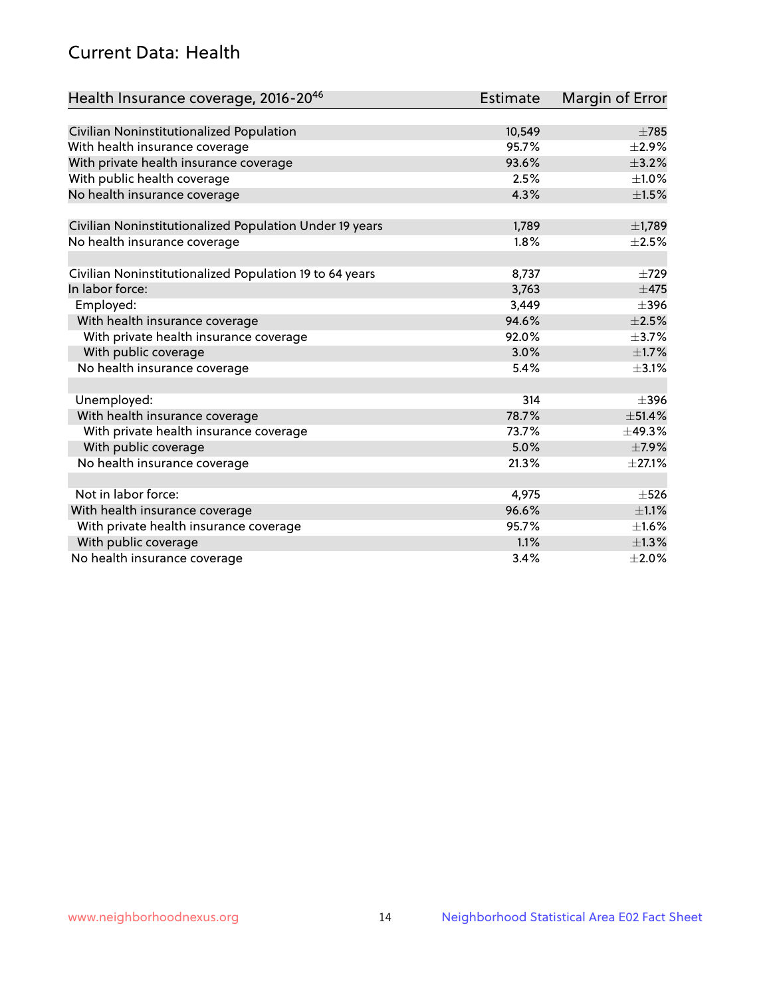## Current Data: Health

| Health Insurance coverage, 2016-2046                    | <b>Estimate</b> | Margin of Error |
|---------------------------------------------------------|-----------------|-----------------|
|                                                         |                 |                 |
| Civilian Noninstitutionalized Population                | 10,549          | $\pm 785$       |
| With health insurance coverage                          | 95.7%           | $\pm 2.9\%$     |
| With private health insurance coverage                  | 93.6%           | $\pm$ 3.2%      |
| With public health coverage                             | 2.5%            | $\pm 1.0\%$     |
| No health insurance coverage                            | 4.3%            | $\pm 1.5\%$     |
| Civilian Noninstitutionalized Population Under 19 years | 1,789           | ±1,789          |
| No health insurance coverage                            | 1.8%            | $\pm 2.5\%$     |
|                                                         |                 |                 |
| Civilian Noninstitutionalized Population 19 to 64 years | 8,737           | $\pm 729$       |
| In labor force:                                         | 3,763           | $\pm$ 475       |
| Employed:                                               | 3,449           | $\pm$ 396       |
| With health insurance coverage                          | 94.6%           | $\pm 2.5\%$     |
| With private health insurance coverage                  | 92.0%           | $\pm$ 3.7%      |
| With public coverage                                    | 3.0%            | $\pm1.7\%$      |
| No health insurance coverage                            | 5.4%            | $\pm$ 3.1%      |
|                                                         |                 |                 |
| Unemployed:                                             | 314             | $\pm$ 396       |
| With health insurance coverage                          | 78.7%           | ±51.4%          |
| With private health insurance coverage                  | 73.7%           | ±49.3%          |
| With public coverage                                    | 5.0%            | $\pm$ 7.9%      |
| No health insurance coverage                            | 21.3%           | $\pm$ 27.1%     |
|                                                         |                 |                 |
| Not in labor force:                                     | 4,975           | $\pm$ 526       |
| With health insurance coverage                          | 96.6%           | $\pm 1.1\%$     |
| With private health insurance coverage                  | 95.7%           | $\pm1.6\%$      |
| With public coverage                                    | 1.1%            | ±1.3%           |
| No health insurance coverage                            | 3.4%            | $\pm 2.0\%$     |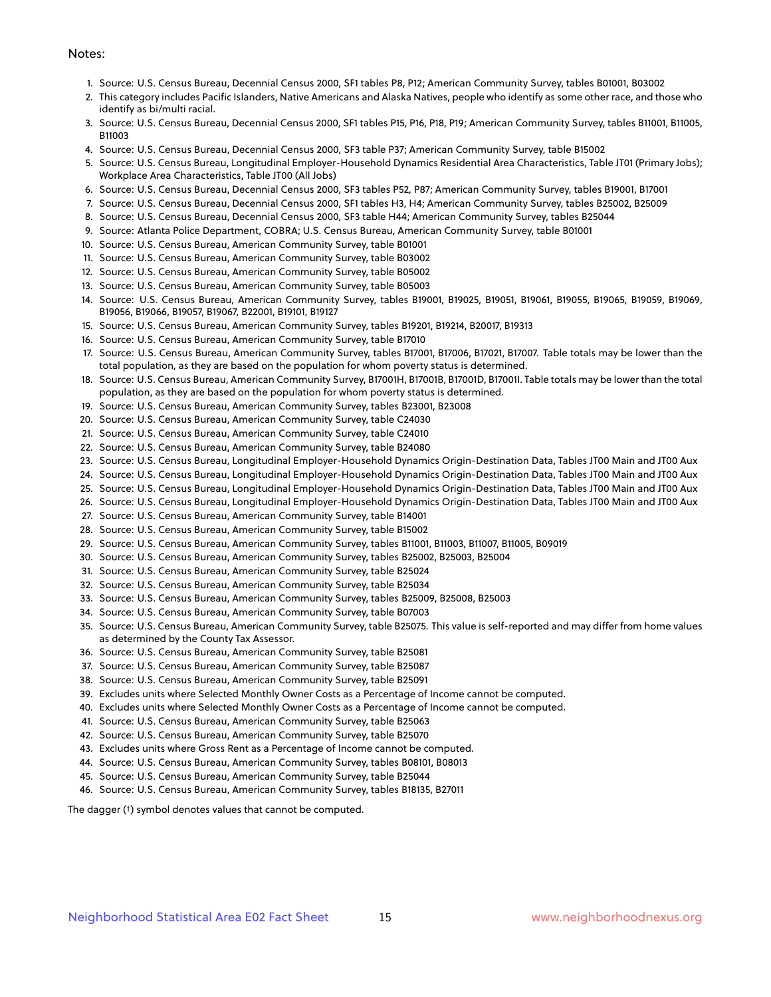#### Notes:

- 1. Source: U.S. Census Bureau, Decennial Census 2000, SF1 tables P8, P12; American Community Survey, tables B01001, B03002
- 2. This category includes Pacific Islanders, Native Americans and Alaska Natives, people who identify as some other race, and those who identify as bi/multi racial.
- 3. Source: U.S. Census Bureau, Decennial Census 2000, SF1 tables P15, P16, P18, P19; American Community Survey, tables B11001, B11005, B11003
- 4. Source: U.S. Census Bureau, Decennial Census 2000, SF3 table P37; American Community Survey, table B15002
- 5. Source: U.S. Census Bureau, Longitudinal Employer-Household Dynamics Residential Area Characteristics, Table JT01 (Primary Jobs); Workplace Area Characteristics, Table JT00 (All Jobs)
- 6. Source: U.S. Census Bureau, Decennial Census 2000, SF3 tables P52, P87; American Community Survey, tables B19001, B17001
- 7. Source: U.S. Census Bureau, Decennial Census 2000, SF1 tables H3, H4; American Community Survey, tables B25002, B25009
- 8. Source: U.S. Census Bureau, Decennial Census 2000, SF3 table H44; American Community Survey, tables B25044
- 9. Source: Atlanta Police Department, COBRA; U.S. Census Bureau, American Community Survey, table B01001
- 10. Source: U.S. Census Bureau, American Community Survey, table B01001
- 11. Source: U.S. Census Bureau, American Community Survey, table B03002
- 12. Source: U.S. Census Bureau, American Community Survey, table B05002
- 13. Source: U.S. Census Bureau, American Community Survey, table B05003
- 14. Source: U.S. Census Bureau, American Community Survey, tables B19001, B19025, B19051, B19061, B19055, B19065, B19059, B19069, B19056, B19066, B19057, B19067, B22001, B19101, B19127
- 15. Source: U.S. Census Bureau, American Community Survey, tables B19201, B19214, B20017, B19313
- 16. Source: U.S. Census Bureau, American Community Survey, table B17010
- 17. Source: U.S. Census Bureau, American Community Survey, tables B17001, B17006, B17021, B17007. Table totals may be lower than the total population, as they are based on the population for whom poverty status is determined.
- 18. Source: U.S. Census Bureau, American Community Survey, B17001H, B17001B, B17001D, B17001I. Table totals may be lower than the total population, as they are based on the population for whom poverty status is determined.
- 19. Source: U.S. Census Bureau, American Community Survey, tables B23001, B23008
- 20. Source: U.S. Census Bureau, American Community Survey, table C24030
- 21. Source: U.S. Census Bureau, American Community Survey, table C24010
- 22. Source: U.S. Census Bureau, American Community Survey, table B24080
- 23. Source: U.S. Census Bureau, Longitudinal Employer-Household Dynamics Origin-Destination Data, Tables JT00 Main and JT00 Aux
- 24. Source: U.S. Census Bureau, Longitudinal Employer-Household Dynamics Origin-Destination Data, Tables JT00 Main and JT00 Aux
- 25. Source: U.S. Census Bureau, Longitudinal Employer-Household Dynamics Origin-Destination Data, Tables JT00 Main and JT00 Aux
- 26. Source: U.S. Census Bureau, Longitudinal Employer-Household Dynamics Origin-Destination Data, Tables JT00 Main and JT00 Aux
- 27. Source: U.S. Census Bureau, American Community Survey, table B14001
- 28. Source: U.S. Census Bureau, American Community Survey, table B15002
- 29. Source: U.S. Census Bureau, American Community Survey, tables B11001, B11003, B11007, B11005, B09019
- 30. Source: U.S. Census Bureau, American Community Survey, tables B25002, B25003, B25004
- 31. Source: U.S. Census Bureau, American Community Survey, table B25024
- 32. Source: U.S. Census Bureau, American Community Survey, table B25034
- 33. Source: U.S. Census Bureau, American Community Survey, tables B25009, B25008, B25003
- 34. Source: U.S. Census Bureau, American Community Survey, table B07003
- 35. Source: U.S. Census Bureau, American Community Survey, table B25075. This value is self-reported and may differ from home values as determined by the County Tax Assessor.
- 36. Source: U.S. Census Bureau, American Community Survey, table B25081
- 37. Source: U.S. Census Bureau, American Community Survey, table B25087
- 38. Source: U.S. Census Bureau, American Community Survey, table B25091
- 39. Excludes units where Selected Monthly Owner Costs as a Percentage of Income cannot be computed.
- 40. Excludes units where Selected Monthly Owner Costs as a Percentage of Income cannot be computed.
- 41. Source: U.S. Census Bureau, American Community Survey, table B25063
- 42. Source: U.S. Census Bureau, American Community Survey, table B25070
- 43. Excludes units where Gross Rent as a Percentage of Income cannot be computed.
- 44. Source: U.S. Census Bureau, American Community Survey, tables B08101, B08013
- 45. Source: U.S. Census Bureau, American Community Survey, table B25044
- 46. Source: U.S. Census Bureau, American Community Survey, tables B18135, B27011

The dagger (†) symbol denotes values that cannot be computed.